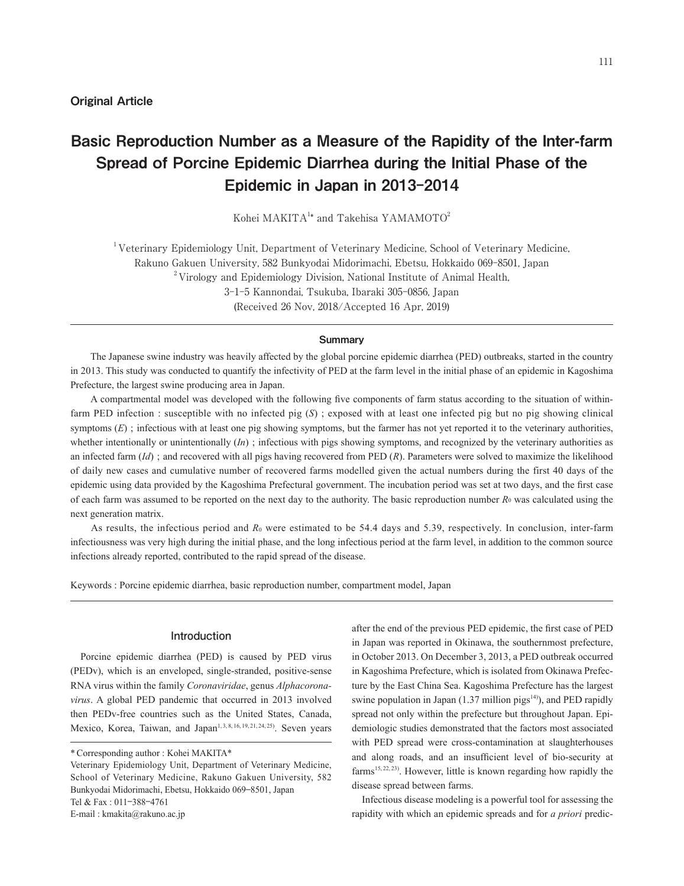# Basic Reproduction Number as a Measure of the Rapidity of the Inter-farm Spread of Porcine Epidemic Diarrhea during the Initial Phase of the Epidemic in Japan in 2013-2014

Kohei MAKITA $1*$  and Takehisa YAMAMOTO<sup>2</sup>

<sup>1</sup>Veterinary Epidemiology Unit, Department of Veterinary Medicine, School of Veterinary Medicine, Rakuno Gakuen University, 582 Bunkyodai Midorimachi, Ebetsu, Hokkaido 069-8501, Japan  $2^2$ Virology and Epidemiology Division, National Institute of Animal Health, 3-1-5 Kannondai, Tsukuba, Ibaraki 305-0856, Japan (Received 26 Nov, 2018/Accepted 16 Apr, 2019)

#### **Summary**

 The Japanese swine industry was heavily affected by the global porcine epidemic diarrhea (PED) outbreaks, started in the country in 2013. This study was conducted to quantify the infectivity of PED at the farm level in the initial phase of an epidemic in Kagoshima Prefecture, the largest swine producing area in Japan.

 A compartmental model was developed with the following five components of farm status according to the situation of withinfarm PED infection : susceptible with no infected pig (*S*) ; exposed with at least one infected pig but no pig showing clinical symptoms  $(E)$ ; infectious with at least one pig showing symptoms, but the farmer has not yet reported it to the veterinary authorities, whether intentionally or unintentionally (*In*); infectious with pigs showing symptoms, and recognized by the veterinary authorities as an infected farm (*Id*) ; and recovered with all pigs having recovered from PED (*R*). Parameters were solved to maximize the likelihood of daily new cases and cumulative number of recovered farms modelled given the actual numbers during the first 40 days of the epidemic using data provided by the Kagoshima Prefectural government. The incubation period was set at two days, and the first case of each farm was assumed to be reported on the next day to the authority. The basic reproduction number *R*0 was calculated using the next generation matrix.

As results, the infectious period and  $R_0$  were estimated to be 54.4 days and 5.39, respectively. In conclusion, inter-farm infectiousness was very high during the initial phase, and the long infectious period at the farm level, in addition to the common source infections already reported, contributed to the rapid spread of the disease.

Keywords : Porcine epidemic diarrhea, basic reproduction number, compartment model, Japan

#### **Introduction**

Porcine epidemic diarrhea (PED) is caused by PED virus (PEDv), which is an enveloped, single-stranded, positive-sense RNA virus within the family *Coronaviridae*, genus *Alphacoronavirus*. A global PED pandemic that occurred in 2013 involved then PEDv-free countries such as the United States, Canada, Mexico, Korea, Taiwan, and Japan<sup>1, 3, 8, 16, 19, 21, 24, 25)</sup>. Seven years after the end of the previous PED epidemic, the first case of PED in Japan was reported in Okinawa, the southernmost prefecture, in October 2013. On December 3, 2013, a PED outbreak occurred in Kagoshima Prefecture, which is isolated from Okinawa Prefecture by the East China Sea. Kagoshima Prefecture has the largest swine population in Japan  $(1.37 \text{ million pigs}^{14})$ , and PED rapidly spread not only within the prefecture but throughout Japan. Epidemiologic studies demonstrated that the factors most associated with PED spread were cross-contamination at slaughterhouses and along roads, and an insufficient level of bio-security at farms<sup>15, 22, 23)</sup>. However, little is known regarding how rapidly the disease spread between farms.

Infectious disease modeling is a powerful tool for assessing the rapidity with which an epidemic spreads and for *a priori* predic-

<sup>\*</sup> Corresponding author : Kohei MAKITA\*

Veterinary Epidemiology Unit, Department of Veterinary Medicine, School of Veterinary Medicine, Rakuno Gakuen University, 582 Bunkyodai Midorimachi, Ebetsu, Hokkaido 069⊖8501, Japan Tel & Fax : 011⊖388⊖4761

E-mail : kmakita@rakuno.ac.jp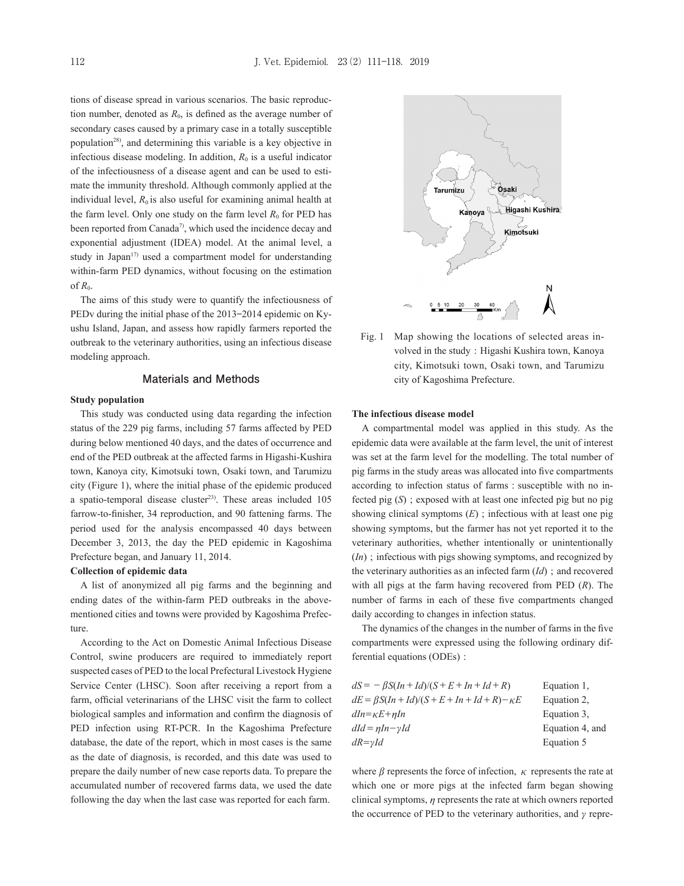tions of disease spread in various scenarios. The basic reproduction number, denoted as  $R_0$ , is defined as the average number of secondary cases caused by a primary case in a totally susceptible population28), and determining this variable is a key objective in infectious disease modeling. In addition,  $R_0$  is a useful indicator of the infectiousness of a disease agent and can be used to estimate the immunity threshold. Although commonly applied at the individual level,  $R_0$  is also useful for examining animal health at the farm level. Only one study on the farm level  $R_0$  for PED has been reported from Canada<sup>7</sup>, which used the incidence decay and exponential adjustment (IDEA) model. At the animal level, a study in Japan $17$  used a compartment model for understanding within-farm PED dynamics, without focusing on the estimation of *R*0.

The aims of this study were to quantify the infectiousness of PEDv during the initial phase of the 2013⊖2014 epidemic on Kyushu Island, Japan, and assess how rapidly farmers reported the outbreak to the veterinary authorities, using an infectious disease modeling approach.

#### **Materials and Methods**

#### **Study population**

This study was conducted using data regarding the infection status of the 229 pig farms, including 57 farms affected by PED during below mentioned 40 days, and the dates of occurrence and end of the PED outbreak at the affected farms in Higashi-Kushira town, Kanoya city, Kimotsuki town, Osaki town, and Tarumizu city (Figure 1), where the initial phase of the epidemic produced a spatio-temporal disease cluster<sup>23)</sup>. These areas included  $105$ farrow-to-finisher, 34 reproduction, and 90 fattening farms. The period used for the analysis encompassed 40 days between December 3, 2013, the day the PED epidemic in Kagoshima Prefecture began, and January 11, 2014.

### **Collection of epidemic data**

A list of anonymized all pig farms and the beginning and ending dates of the within-farm PED outbreaks in the abovementioned cities and towns were provided by Kagoshima Prefecture.

According to the Act on Domestic Animal Infectious Disease Control, swine producers are required to immediately report suspected cases of PED to the local Prefectural Livestock Hygiene Service Center (LHSC). Soon after receiving a report from a farm, official veterinarians of the LHSC visit the farm to collect biological samples and information and confirm the diagnosis of PED infection using RT-PCR. In the Kagoshima Prefecture database, the date of the report, which in most cases is the same as the date of diagnosis, is recorded, and this date was used to prepare the daily number of new case reports data. To prepare the accumulated number of recovered farms data, we used the date following the day when the last case was reported for each farm.



Fig. 1 Map showing the locations of selected areas involved in the study : Higashi Kushira town, Kanoya city, Kimotsuki town, Osaki town, and Tarumizu city of Kagoshima Prefecture.

#### **The infectious disease model**

A compartmental model was applied in this study. As the epidemic data were available at the farm level, the unit of interest was set at the farm level for the modelling. The total number of pig farms in the study areas was allocated into five compartments according to infection status of farms : susceptible with no infected pig (*S*) ; exposed with at least one infected pig but no pig showing clinical symptoms (*E*) ; infectious with at least one pig showing symptoms, but the farmer has not yet reported it to the veterinary authorities, whether intentionally or unintentionally (*In*) ; infectious with pigs showing symptoms, and recognized by the veterinary authorities as an infected farm (*Id*) ; and recovered with all pigs at the farm having recovered from PED (*R*). The number of farms in each of these five compartments changed daily according to changes in infection status.

The dynamics of the changes in the number of farms in the five compartments were expressed using the following ordinary differential equations (ODEs) :

| $dS = -\beta S (In + Id)/(S + E + In + Id + R)$           | Equation 1.     |
|-----------------------------------------------------------|-----------------|
| $dE = \beta S (In + Id)/(S + E + In + Id + R) - \kappa E$ | Equation 2.     |
| $dIn = \kappa E + \eta In$                                | Equation 3.     |
| $dId = nIn - vId$                                         | Equation 4, and |
| $dR = vId$                                                | Equation 5      |
|                                                           |                 |

where  $\beta$  represents the force of infection,  $\kappa$  represents the rate at which one or more pigs at the infected farm began showing clinical symptoms,  $n$  represents the rate at which owners reported the occurrence of PED to the veterinary authorities, and  $\gamma$  repre-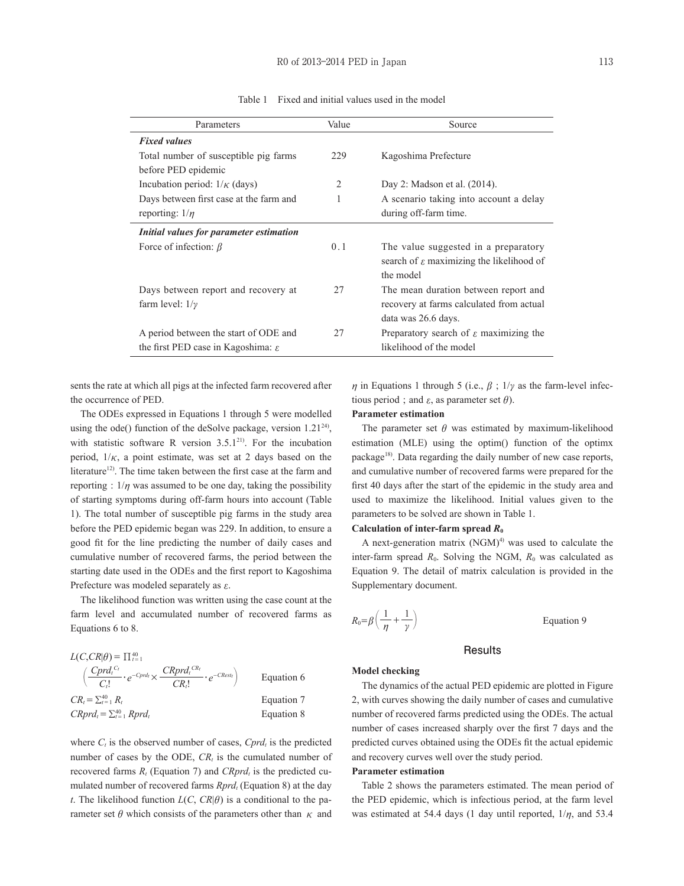| Parameters                                     | Value          | Source                                               |
|------------------------------------------------|----------------|------------------------------------------------------|
| <b>Fixed values</b>                            |                |                                                      |
| Total number of susceptible pig farms          | 229            | Kagoshima Prefecture                                 |
| before PED epidemic                            |                |                                                      |
| Incubation period: $1/\kappa$ (days)           | $\overline{2}$ | Day 2: Madson et al. (2014).                         |
| Days between first case at the farm and        |                | A scenario taking into account a delay               |
| reporting: $1/n$                               |                | during off-farm time.                                |
| Initial values for parameter estimation        |                |                                                      |
| Force of infection: $\beta$                    | 0.1            | The value suggested in a preparatory                 |
|                                                |                | search of $\varepsilon$ maximizing the likelihood of |
|                                                |                | the model                                            |
| Days between report and recovery at            | 27             | The mean duration between report and                 |
| farm level: $1/\gamma$                         |                | recovery at farms calculated from actual             |
|                                                |                | data was 26.6 days.                                  |
| A period between the start of ODE and          | 27             | Preparatory search of $\varepsilon$ maximizing the   |
| the first PED case in Kagoshima: $\varepsilon$ |                | likelihood of the model                              |

Table 1 Fixed and initial values used in the model

sents the rate at which all pigs at the infected farm recovered after the occurrence of PED.

The ODEs expressed in Equations 1 through 5 were modelled using the ode() function of the deSolve package, version  $1.21^{24}$ , with statistic software R version  $3.5.1^{21}$ . For the incubation period,  $1/\kappa$ , a point estimate, was set at 2 days based on the literature<sup>12)</sup>. The time taken between the first case at the farm and reporting :  $1/n$  was assumed to be one day, taking the possibility of starting symptoms during off-farm hours into account (Table 1). The total number of susceptible pig farms in the study area before the PED epidemic began was 229. In addition, to ensure a good fit for the line predicting the number of daily cases and cumulative number of recovered farms, the period between the starting date used in the ODEs and the first report to Kagoshima Prefecture was modeled separately as  $\varepsilon$ .

The likelihood function was written using the case count at the farm level and accumulated number of recovered farms as Equations 6 to 8.

| $L(C, CR \theta) = \prod_{t=1}^{40}$                                                                           |            |
|----------------------------------------------------------------------------------------------------------------|------------|
| $\left(\frac{Cprd_t^{C_t}}{C_t!}\cdot e^{-Cprd_t}\times \frac{CRprd_t^{CR_t}}{CR_t!}\cdot e^{-CRest_t}\right)$ | Equation 6 |
| $CR_{t} = \sum_{t=1}^{40} R_{t}$                                                                               | Equation 7 |
| $CRprdt = \sum_{t=1}^{40} Rprdt$                                                                               | Equation 8 |

where  $C_t$  is the observed number of cases,  $Cprd_t$  is the predicted number of cases by the ODE,  $CR<sub>t</sub>$  is the cumulated number of recovered farms  $R_t$  (Equation 7) and  $CRprd_t$  is the predicted cumulated number of recovered farms *Rprd*<sub>t</sub> (Equation 8) at the day *t*. The likelihood function  $L(C, CR|\theta)$  is a conditional to the parameter set  $\theta$  which consists of the parameters other than  $\kappa$  and

*n* in Equations 1 through 5 (i.e.,  $\beta$  ;  $1/\gamma$  as the farm-level infectious period ; and  $\varepsilon$ , as parameter set  $\theta$ ).

## **Parameter estimation**

The parameter set  $\theta$  was estimated by maximum-likelihood estimation (MLE) using the optim() function of the optimx package<sup>18)</sup>. Data regarding the daily number of new case reports, and cumulative number of recovered farms were prepared for the first 40 days after the start of the epidemic in the study area and used to maximize the likelihood. Initial values given to the parameters to be solved are shown in Table 1.

#### **Calculation of inter-farm spread** *R***<sup>0</sup>**

A next-generation matrix  $(NGM)^{4}$  was used to calculate the inter-farm spread  $R_0$ . Solving the NGM,  $R_0$  was calculated as Equation 9. The detail of matrix calculation is provided in the Supplementary document.

$$
R_0 = \beta \left( \frac{1}{n} + \frac{1}{\gamma} \right)
$$

Equation 9

#### **Results**

#### **Model checking**

The dynamics of the actual PED epidemic are plotted in Figure 2, with curves showing the daily number of cases and cumulative number of recovered farms predicted using the ODEs. The actual number of cases increased sharply over the first 7 days and the predicted curves obtained using the ODEs fit the actual epidemic and recovery curves well over the study period.

#### **Parameter estimation**

Table 2 shows the parameters estimated. The mean period of the PED epidemic, which is infectious period, at the farm level was estimated at 54.4 days (1 day until reported,  $1/\eta$ , and 53.4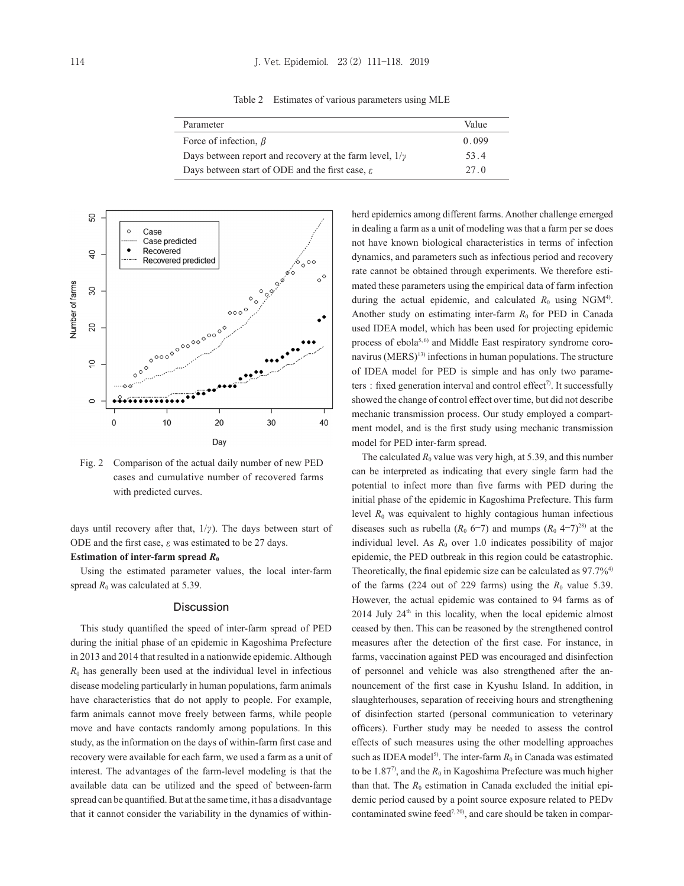Table 2 Estimates of various parameters using MLE

| Parameter                                                      | Value |
|----------------------------------------------------------------|-------|
| Force of infection, $\beta$                                    | 0.099 |
| Days between report and recovery at the farm level, $1/\gamma$ | 53.4  |
| Days between start of ODE and the first case, $\varepsilon$    | 27 O  |



Fig. 2 Comparison of the actual daily number of new PED cases and cumulative number of recovered farms with predicted curves.

days until recovery after that,  $1/\gamma$ ). The days between start of ODE and the first case,  $\varepsilon$  was estimated to be 27 days.

### **Estimation of inter-farm spread**  $R_0$

Using the estimated parameter values, the local inter-farm spread  $R_0$  was calculated at 5.39.

#### **Discussion**

This study quantified the speed of inter-farm spread of PED during the initial phase of an epidemic in Kagoshima Prefecture in 2013 and 2014 that resulted in a nationwide epidemic. Although  $R_0$  has generally been used at the individual level in infectious disease modeling particularly in human populations, farm animals have characteristics that do not apply to people. For example, farm animals cannot move freely between farms, while people move and have contacts randomly among populations. In this study, as the information on the days of within-farm first case and recovery were available for each farm, we used a farm as a unit of interest. The advantages of the farm-level modeling is that the available data can be utilized and the speed of between-farm spread can be quantified. But at the same time, it has a disadvantage that it cannot consider the variability in the dynamics of withinherd epidemics among different farms. Another challenge emerged in dealing a farm as a unit of modeling was that a farm per se does not have known biological characteristics in terms of infection dynamics, and parameters such as infectious period and recovery rate cannot be obtained through experiments. We therefore estimated these parameters using the empirical data of farm infection during the actual epidemic, and calculated  $R_0$  using NGM<sup>4)</sup>. Another study on estimating inter-farm  $R_0$  for PED in Canada used IDEA model, which has been used for projecting epidemic process of ebola<sup>5,6)</sup> and Middle East respiratory syndrome coronavirus (MERS)<sup>13)</sup> infections in human populations. The structure of IDEA model for PED is simple and has only two parameters : fixed generation interval and control effect<sup>7)</sup>. It successfully showed the change of control effect over time, but did not describe mechanic transmission process. Our study employed a compartment model, and is the first study using mechanic transmission model for PED inter-farm spread.

The calculated  $R_0$  value was very high, at 5.39, and this number can be interpreted as indicating that every single farm had the potential to infect more than five farms with PED during the initial phase of the epidemic in Kagoshima Prefecture. This farm level  $R_0$  was equivalent to highly contagious human infectious diseases such as rubella ( $R_0$  6–7) and mumps ( $R_0$  4–7)<sup>28)</sup> at the individual level. As  $R_0$  over 1.0 indicates possibility of major epidemic, the PED outbreak in this region could be catastrophic. Theoretically, the final epidemic size can be calculated as 97.7%4) of the farms  $(224 \text{ out of } 229 \text{ farms})$  using the  $R_0$  value 5.39. However, the actual epidemic was contained to 94 farms as of  $2014$  July  $24<sup>th</sup>$  in this locality, when the local epidemic almost ceased by then. This can be reasoned by the strengthened control measures after the detection of the first case. For instance, in farms, vaccination against PED was encouraged and disinfection of personnel and vehicle was also strengthened after the announcement of the first case in Kyushu Island. In addition, in slaughterhouses, separation of receiving hours and strengthening of disinfection started (personal communication to veterinary officers). Further study may be needed to assess the control effects of such measures using the other modelling approaches such as IDEA model<sup>5)</sup>. The inter-farm  $R_0$  in Canada was estimated to be 1.87<sup>7</sup>, and the  $R_0$  in Kagoshima Prefecture was much higher than that. The  $R_0$  estimation in Canada excluded the initial epidemic period caused by a point source exposure related to PEDv contaminated swine feed<sup>7, 20</sup>, and care should be taken in compar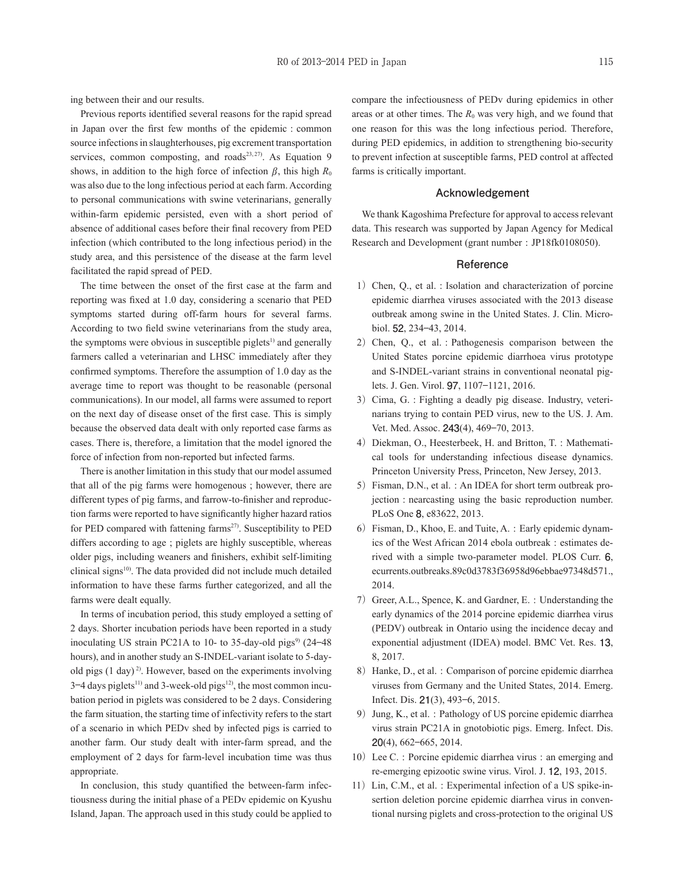ing between their and our results.

Previous reports identified several reasons for the rapid spread in Japan over the first few months of the epidemic : common source infections in slaughterhouses, pig excrement transportation services, common composting, and roads $23, 27$ . As Equation 9 shows, in addition to the high force of infection  $\beta$ , this high  $R_0$ was also due to the long infectious period at each farm. According to personal communications with swine veterinarians, generally within-farm epidemic persisted, even with a short period of absence of additional cases before their final recovery from PED infection (which contributed to the long infectious period) in the study area, and this persistence of the disease at the farm level facilitated the rapid spread of PED.

The time between the onset of the first case at the farm and reporting was fixed at 1.0 day, considering a scenario that PED symptoms started during off-farm hours for several farms. According to two field swine veterinarians from the study area, the symptoms were obvious in susceptible piglets<sup>1)</sup> and generally farmers called a veterinarian and LHSC immediately after they confirmed symptoms. Therefore the assumption of 1.0 day as the average time to report was thought to be reasonable (personal communications). In our model, all farms were assumed to report on the next day of disease onset of the first case. This is simply because the observed data dealt with only reported case farms as cases. There is, therefore, a limitation that the model ignored the force of infection from non-reported but infected farms.

There is another limitation in this study that our model assumed that all of the pig farms were homogenous ; however, there are different types of pig farms, and farrow-to-finisher and reproduction farms were reported to have significantly higher hazard ratios for PED compared with fattening farms<sup>27)</sup>. Susceptibility to PED differs according to age ; piglets are highly susceptible, whereas older pigs, including weaners and finishers, exhibit self-limiting clinical signs<sup>10)</sup>. The data provided did not include much detailed information to have these farms further categorized, and all the farms were dealt equally.

In terms of incubation period, this study employed a setting of 2 days. Shorter incubation periods have been reported in a study inoculating US strain PC21A to 10- to 35-day-old pigs<sup>9)</sup>  $(24–48)$ hours), and in another study an S-INDEL-variant isolate to 5-dayold pigs  $(1 \text{ day})^2$ . However, based on the experiments involving  $3-4$  days piglets<sup>11)</sup> and 3-week-old pigs<sup>12)</sup>, the most common incubation period in piglets was considered to be 2 days. Considering the farm situation, the starting time of infectivity refers to the start of a scenario in which PEDv shed by infected pigs is carried to another farm. Our study dealt with inter-farm spread, and the employment of 2 days for farm-level incubation time was thus appropriate.

In conclusion, this study quantified the between-farm infectiousness during the initial phase of a PEDv epidemic on Kyushu Island, Japan. The approach used in this study could be applied to compare the infectiousness of PEDv during epidemics in other areas or at other times. The  $R_0$  was very high, and we found that one reason for this was the long infectious period. Therefore, during PED epidemics, in addition to strengthening bio-security to prevent infection at susceptible farms, PED control at affected farms is critically important.

#### **Acknowledgement**

We thank Kagoshima Prefecture for approval to access relevant data. This research was supported by Japan Agency for Medical Research and Development (grant number : JP18fk0108050).

#### **Reference**

- 1) Chen, O., et al. : Isolation and characterization of porcine epidemic diarrhea viruses associated with the 2013 disease outbreak among swine in the United States. J. Clin. Microbiol. **52**, 234⊖43, 2014.
- 2) Chen, Q., et al. : Pathogenesis comparison between the United States porcine epidemic diarrhoea virus prototype and S-INDEL-variant strains in conventional neonatal piglets. J. Gen. Virol. **97**, 1107⊖1121, 2016.
- 3) Cima, G. : Fighting a deadly pig disease. Industry, veterinarians trying to contain PED virus, new to the US. J. Am. Vet. Med. Assoc. **243**(4), 469⊖70, 2013.
- 4) Diekman, O., Heesterbeek, H. and Britton, T. : Mathematical tools for understanding infectious disease dynamics. Princeton University Press, Princeton, New Jersey, 2013.
- 5) Fisman, D.N., et al. : An IDEA for short term outbreak projection : nearcasting using the basic reproduction number. PLoS One **8**, e83622, 2013.
- 6) Fisman, D., Khoo, E. and Tuite, A. : Early epidemic dynamics of the West African 2014 ebola outbreak : estimates derived with a simple two-parameter model. PLOS Curr. **6**, ecurrents.outbreaks.89c0d3783f36958d96ebbae97348d571., 2014.
- 7) Greer, A.L., Spence, K. and Gardner, E. : Understanding the early dynamics of the 2014 porcine epidemic diarrhea virus (PEDV) outbreak in Ontario using the incidence decay and exponential adjustment (IDEA) model. BMC Vet. Res. **13**, 8, 2017.
- 8) Hanke, D., et al. : Comparison of porcine epidemic diarrhea viruses from Germany and the United States, 2014. Emerg. Infect. Dis. **21**(3), 493⊖6, 2015.
- 9) Jung, K., et al. : Pathology of US porcine epidemic diarrhea virus strain PC21A in gnotobiotic pigs. Emerg. Infect. Dis. **20**(4), 662⊖665, 2014.
- 10) Lee C. : Porcine epidemic diarrhea virus : an emerging and re-emerging epizootic swine virus. Virol. J. **12**, 193, 2015.
- 11) Lin, C.M., et al. : Experimental infection of a US spike-insertion deletion porcine epidemic diarrhea virus in conventional nursing piglets and cross-protection to the original US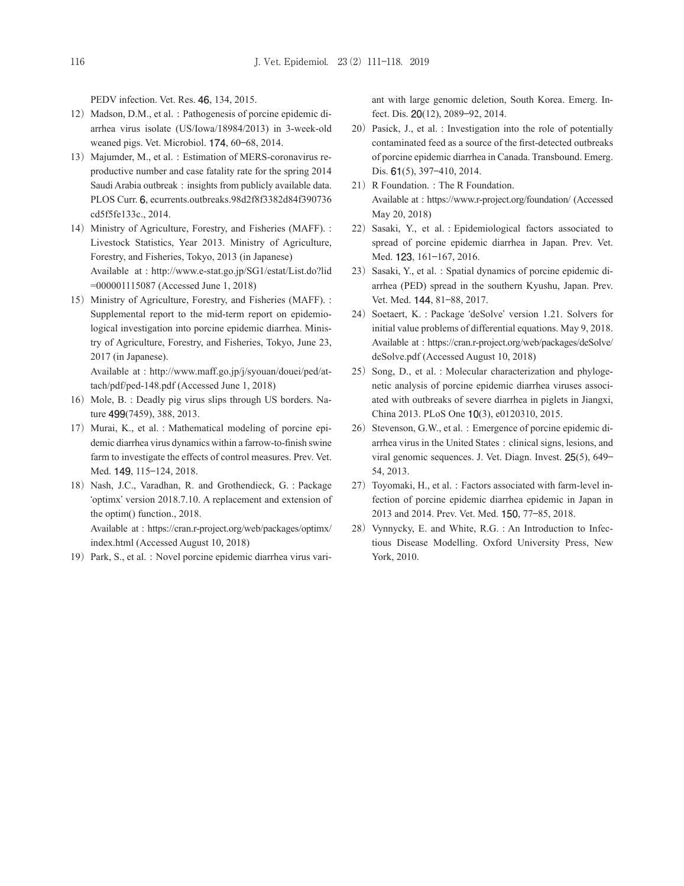PEDV infection. Vet. Res. **46**, 134, 2015.

- 12) Madson, D.M., et al. : Pathogenesis of porcine epidemic diarrhea virus isolate (US/Iowa/18984/2013) in 3-week-old weaned pigs. Vet. Microbiol. **174**, 60⊖68, 2014.
- 13) Majumder, M., et al. : Estimation of MERS-coronavirus reproductive number and case fatality rate for the spring 2014 Saudi Arabia outbreak : insights from publicly available data. PLOS Curr. **6**, ecurrents.outbreaks.98d2f8f3382d84f390736 cd5f5fe133c., 2014.
- 14) Ministry of Agriculture, Forestry, and Fisheries (MAFF). : Livestock Statistics, Year 2013. Ministry of Agriculture, Forestry, and Fisheries, Tokyo, 2013 (in Japanese) Available at : http://www.e-stat.go.jp/SG1/estat/List.do?lid =000001115087 (Accessed June 1, 2018)
- 15) Ministry of Agriculture, Forestry, and Fisheries (MAFF). : Supplemental report to the mid-term report on epidemiological investigation into porcine epidemic diarrhea. Ministry of Agriculture, Forestry, and Fisheries, Tokyo, June 23, 2017 (in Japanese).

Available at : http://www.maff.go.jp/j/syouan/douei/ped/attach/pdf/ped-148.pdf (Accessed June 1, 2018)

- 16) Mole, B. : Deadly pig virus slips through US borders. Nature **499**(7459), 388, 2013.
- 17) Murai, K., et al. : Mathematical modeling of porcine epidemic diarrhea virus dynamics within a farrow-to-finish swine farm to investigate the effects of control measures. Prev. Vet. Med. **149**, 115⊖124, 2018.
- 18) Nash, J.C., Varadhan, R. and Grothendieck, G. : Package 'optimx' version 2018.7.10. A replacement and extension of the optim() function., 2018. Available at : https://cran.r-project.org/web/packages/optimx/ index.html (Accessed August 10, 2018)
- 19) Park, S., et al. : Novel porcine epidemic diarrhea virus vari-

ant with large genomic deletion, South Korea. Emerg. Infect. Dis. **20**(12), 2089⊖92, 2014.

- 20) Pasick, J., et al. : Investigation into the role of potentially contaminated feed as a source of the first-detected outbreaks of porcine epidemic diarrhea in Canada. Transbound. Emerg. Dis. **61**(5), 397⊖410, 2014.
- 21) R Foundation. : The R Foundation. Available at : https://www.r-project.org/foundation/ (Accessed May 20, 2018)
- 22) Sasaki, Y., et al. : Epidemiological factors associated to spread of porcine epidemic diarrhea in Japan. Prev. Vet. Med. **123**, 161⊖167, 2016.
- 23) Sasaki, Y., et al. : Spatial dynamics of porcine epidemic diarrhea (PED) spread in the southern Kyushu, Japan. Prev. Vet. Med. **144**, 81⊖88, 2017.
- 24) Soetaert, K. : Package 'deSolve' version 1.21. Solvers for initial value problems of differential equations. May 9, 2018. Available at : https://cran.r-project.org/web/packages/deSolve/ deSolve.pdf (Accessed August 10, 2018)
- 25) Song, D., et al. : Molecular characterization and phylogenetic analysis of porcine epidemic diarrhea viruses associated with outbreaks of severe diarrhea in piglets in Jiangxi, China 2013. PLoS One **10**(3), e0120310, 2015.
- 26) Stevenson, G.W., et al. : Emergence of porcine epidemic diarrhea virus in the United States : clinical signs, lesions, and viral genomic sequences. J. Vet. Diagn. Invest. **25**(5), 649⊖ 54, 2013.
- 27) Toyomaki, H., et al. : Factors associated with farm-level infection of porcine epidemic diarrhea epidemic in Japan in 2013 and 2014. Prev. Vet. Med. **150**, 77⊖85, 2018.
- 28) Vynnycky, E. and White, R.G. : An Introduction to Infectious Disease Modelling. Oxford University Press, New York, 2010.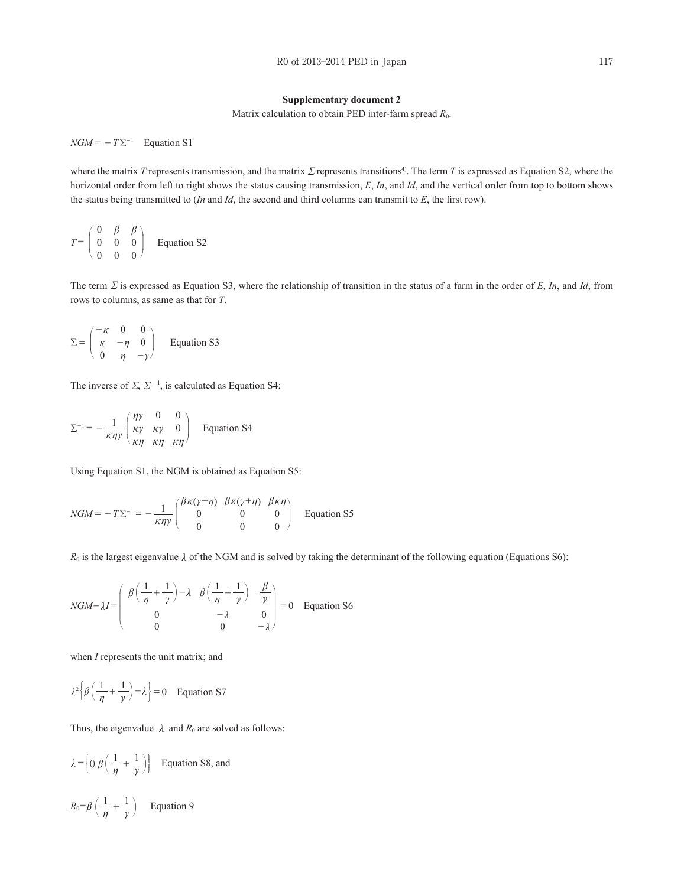#### **Supplementary document 2**

Matrix calculation to obtain PED inter-farm spread  $R_0$ .

 $NGM = -T \Sigma^{-1}$  Equation S1

where the matrix *T* represents transmission, and the matrix Σ represents transitions<sup>4</sup>. The term *T* is expressed as Equation S2, where the horizontal order from left to right shows the status causing transmission, *E*, *In*, and *Id*, and the vertical order from top to bottom shows the status being transmitted to (*In* and *Id*, the second and third columns can transmit to *E*, the first row).

$$
T = \begin{pmatrix} 0 & \beta & \beta \\ 0 & 0 & 0 \\ 0 & 0 & 0 \end{pmatrix} \quad \text{Equation S2}
$$

The term Σ is expressed as Equation S3, where the relationship of transition in the status of a farm in the order of *E*, *In*, and *Id*, from rows to columns, as same as that for *T*.

$$
\Sigma = \begin{pmatrix} -\kappa & 0 & 0 \\ \kappa & -\eta & 0 \\ 0 & \eta & -\gamma \end{pmatrix}
$$
 Equation S3

The inverse of  $\Sigma$ ,  $\Sigma^{-1}$ , is calculated as Equation S4:

$$
\Sigma^{-1} = -\frac{1}{\kappa \eta \gamma} \begin{pmatrix} \eta \gamma & 0 & 0 \\ \kappa \gamma & \kappa \gamma & 0 \\ \kappa \eta & \kappa \eta & \kappa \eta \end{pmatrix}
$$
 Equation S4

Using Equation S1, the NGM is obtained as Equation S5:

$$
NGM = -T\Sigma^{-1} = -\frac{1}{\kappa \eta \gamma} \begin{pmatrix} \beta \kappa (\gamma + \eta) & \beta \kappa (\gamma + \eta) & \beta \kappa \eta \\ 0 & 0 & 0 \\ 0 & 0 & 0 \end{pmatrix}
$$
 Equation S5

 $R_0$  is the largest eigenvalue  $\lambda$  of the NGM and is solved by taking the determinant of the following equation (Equations S6):

$$
NGM-\lambda I = \begin{pmatrix} \beta\left(\frac{1}{\eta}+\frac{1}{\gamma}\right)-\lambda & \beta\left(\frac{1}{\eta}+\frac{1}{\gamma}\right) & \frac{\beta}{\gamma} \\ 0 & -\lambda & 0 \\ 0 & 0 & -\lambda \end{pmatrix} = 0 \quad \text{Equation S6}
$$

when *I* represents the unit matrix; and

$$
\lambda^2 \left\{ \beta \left( \frac{1}{\eta} + \frac{1}{\gamma} \right) - \lambda \right\} = 0 \quad \text{Equation S7}
$$

Thus, the eigenvalue  $\lambda$  and  $R_0$  are solved as follows:

$$
\lambda = \left\{ 0, \beta \left( \frac{1}{\eta} + \frac{1}{\gamma} \right) \right\}
$$
 Equation S8, and

$$
R_0 = \beta \left(\frac{1}{\eta} + \frac{1}{\gamma}\right) \qquad \text{Equation 9}
$$